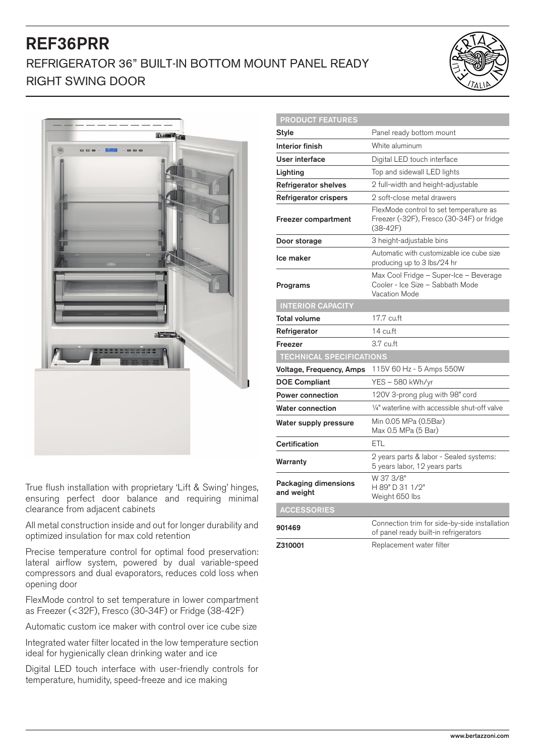## REF36PRR REFRIGERATOR 36" BUILT-IN BOTTOM MOUNT PANEL READY RIGHT SWING DOOR





True flush installation with proprietary 'Lift & Swing' hinges, ensuring perfect door balance and requiring minimal clearance from adjacent cabinets

All metal construction inside and out for longer durability and optimized insulation for max cold retention

Precise temperature control for optimal food preservation: lateral airflow system, powered by dual variable-speed compressors and dual evaporators, reduces cold loss when opening door

FlexMode control to set temperature in lower compartment as Freezer (<32F), Fresco (30-34F) or Fridge (38-42F)

Automatic custom ice maker with control over ice cube size

Integrated water filter located in the low temperature section ideal for hygienically clean drinking water and ice

Digital LED touch interface with user-friendly controls for temperature, humidity, speed-freeze and ice making

| <b>PRODUCT FEATURES</b>            |                                                                                                   |
|------------------------------------|---------------------------------------------------------------------------------------------------|
| Style                              | Panel ready bottom mount                                                                          |
| <b>Interior finish</b>             | White aluminum                                                                                    |
| User interface                     | Digital LED touch interface                                                                       |
| Lighting                           | Top and sidewall LED lights                                                                       |
| <b>Refrigerator shelves</b>        | 2 full-width and height-adjustable                                                                |
| Refrigerator crispers              | 2 soft-close metal drawers                                                                        |
| Freezer compartment                | FlexMode control to set temperature as<br>Freezer (-32F), Fresco (30-34F) or fridge<br>$(38-42F)$ |
| Door storage                       | 3 height-adjustable bins                                                                          |
| Ice maker                          | Automatic with customizable ice cube size<br>producing up to 3 lbs/24 hr                          |
| Programs                           | Max Cool Fridge - Super-Ice - Beverage<br>Cooler - Ice Size - Sabbath Mode<br>Vacation Mode       |
| <b>INTERIOR CAPACITY</b>           |                                                                                                   |
| <b>Total volume</b>                | 17.7 cu.ft                                                                                        |
| Refrigerator                       | 14 cu.ft                                                                                          |
| Freezer                            | $3.7 \text{ cu.ft}$                                                                               |
| <b>TECHNICAL SPECIFICATIONS</b>    |                                                                                                   |
| Voltage, Frequency, Amps           | 115V 60 Hz - 5 Amps 550W                                                                          |
| <b>DOE Compliant</b>               | YES – 580 kWh/yr                                                                                  |
| <b>Power connection</b>            | 120V 3-prong plug with 98" cord                                                                   |
| <b>Water connection</b>            | 1/4" waterline with accessible shut-off valve                                                     |
| Water supply pressure              | Min 0.05 MPa (0.5Bar)<br>Max 0.5 MPa (5 Bar)                                                      |
| <b>Certification</b>               | ETL                                                                                               |
| Warranty                           | 2 years parts & labor - Sealed systems:<br>5 years labor, 12 years parts                          |
| Packaging dimensions<br>and weight | W 37 3/8"<br>H 89" D 31 1/2"<br>Weight 650 lbs                                                    |
| <b>ACCESSORIES</b>                 |                                                                                                   |
| 901469                             | Connection trim for side-by-side installation<br>of panel ready built-in refrigerators            |
| Z310001                            | Replacement water filter                                                                          |

PRODUCT FEATURES